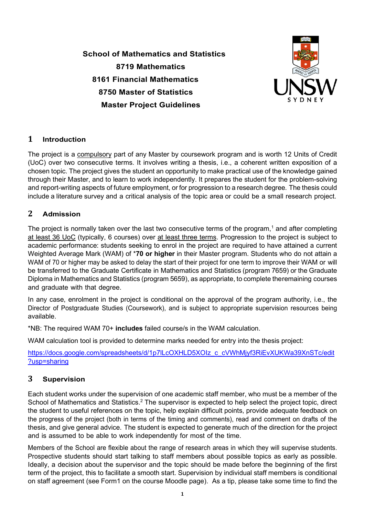**School of Mathematics and Statistics 8719 Mathematics 8161 Financial Mathematics 8750 Master of Statistics Master Project Guidelines**



## **1 Introduction**

The project is a compulsory part of any Master by coursework program and is worth 12 Units of Credit (UoC) over two consecutive terms. It involves writing a thesis, i.e., a coherent written exposition of a chosen topic. The project gives the student an opportunity to make practical use of the knowledge gained through their Master, and to learn to work independently. It prepares the student for the problem-solving and report-writing aspects of future employment, or for progression to a research degree. The thesis could include a literature survey and a critical analysis of the topic area or could be a small research project.

## **2 Admission**

The project is normally taken over the last two consecutive terms of the program,<sup>1</sup> and after completing at least 36 UoC (typically, 6 courses) over at least three terms. Progression to the project is subject to academic performance: students seeking to enrol in the project are required to have attained a current Weighted Average Mark (WAM) of \***70 or higher** in their Master program. Students who do not attain a WAM of 70 or higher may be asked to delay the start of their project for one term to improve their WAM or will be transferred to the Graduate Certificate in Mathematics and Statistics (program 7659) or the Graduate Diploma in Mathematics and Statistics (program 5659), as appropriate, to complete theremaining courses and graduate with that degree.

In any case, enrolment in the project is conditional on the approval of the program authority, i.e., the Director of Postgraduate Studies (Coursework), and is subject to appropriate supervision resources being available.

\*NB: The required WAM 70+ **includes** failed course/s in the WAM calculation.

WAM calculation tool is provided to determine marks needed for entry into the thesis project:

https://docs.google.com/spreadsheets/d/1p7lLcOXHLD5XOIz\_c\_cVWhMjvf3RiEvXUKWa39XnSTc/edit [?usp=sharing](https://docs.google.com/spreadsheets/d/1p7lLcOXHLD5XOIz_c_cVWhMjyf3RiEvXUKWa39XnSTc/edit?usp=sharing)

## **3 Supervision**

Each student works under the supervision of one academic staff member, who must be a member of the School of Mathematics and Statistics.<sup>2</sup> The supervisor is expected to help select the project topic, direct the student to useful references on the topic, help explain difficult points, provide adequate feedback on the progress of the project (both in terms of the timing and comments), read and comment on drafts of the thesis, and give general advice. The student is expected to generate much of the direction for the project and is assumed to be able to work independently for most of the time.

Members of the School are flexible about the range of research areas in which they will supervise students. Prospective students should start talking to staff members about possible topics as early as possible. Ideally, a decision about the supervisor and the topic should be made before the beginning of the first term of the project, this to facilitate a smooth start. Supervision by individual staff members is conditional on staff agreement (see Form1 on the course Moodle page). As a tip, please take some time to find the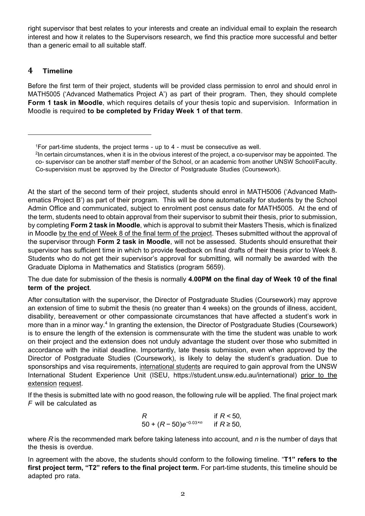right supervisor that best relates to your interests and create an individual email to explain the research interest and how it relates to the Supervisors research, we find this practice more successful and better than a generic email to all suitable staff.

## **4 Timeline**

Before the first term of their project, students will be provided class permission to enrol and should enrol in MATH5005 ('Advanced Mathematics Project A') as part of their program. Then, they should complete **Form 1 task in Moodle**, which requires details of your thesis topic and supervision. Information in Moodle is required **to be completed by Friday Week 1 of that term**.

At the start of the second term of their project, students should enrol in MATH5006 ('Advanced Mathematics Project B') as part of their program. This will be done automatically for students by the School Admin Office and communicated, subject to enrolment post census date for MATH5005. At the end of the term, students need to obtain approval from their supervisor to submit their thesis, prior to submission, by completing **Form 2 task in Moodle**, which is approval to submit their Masters Thesis, which is finalized in Moodle by the end of Week 8 of the final term of the project. Theses submitted without the approval of the supervisor through **Form 2 task in Moodle**, will not be assessed. Students should ensurethat their supervisor has sufficient time in which to provide feedback on final drafts of their thesis prior to Week 8. Students who do not get their supervisor's approval for submitting, will normally be awarded with the Graduate Diploma in Mathematics and Statistics (program 5659).

The due date for submission of the thesis is normally **4.00PM on the final day of Week 10 of the final term of the project**.

After consultation with the supervisor, the Director of Postgraduate Studies (Coursework) may approve an extension of time to submit the thesis (no greater than 4 weeks) on the grounds of illness, accident, disability, bereavement or other compassionate circumstances that have affected a student's work in more than in a minor way.<sup>4</sup> In granting the extension, the Director of Postgraduate Studies (Coursework) is to ensure the length of the extension is commensurate with the time the student was unable to work on their project and the extension does not unduly advantage the student over those who submitted in accordance with the initial deadline. Importantly, late thesis submission, even when approved by the Director of Postgraduate Studies (Coursework), is likely to delay the student's graduation. Due to sponsorships and visa requirements, international students are required to gain approval from the UNSW International Student Experience Unit (ISEU, [https://student.unsw.edu.au/international\)](https://student.unsw.edu.au/international) prior to the extension request.

If the thesis is submitted late with no good reason, the following rule will be applied. The final project mark *F* will be calculated as

R if 
$$
R < 50
$$
,  
50 +  $(R - 50)e^{-0.03 \times n}$  if  $R \ge 50$ ,

where *R* is the recommended mark before taking lateness into account, and *n* is the number of days that the thesis is overdue.

In agreement with the above, the students should conform to the following timeline. "**T1" refers to the first project term, "T2" refers to the final project term.** For part-time students, this timeline should be adapted pro rata.

<span id="page-1-0"></span><sup>1</sup>For part-time students, the project terms - up to 4 - must be consecutive as well.

<sup>2</sup>In certain circumstances, when it is in the obvious interest of the project, a co-supervisor may be appointed. The co- supervisor can be another staff member of the School, or an academic from another UNSW School/Faculty. Co-supervision must be approved by the Director of Postgraduate Studies (Coursework).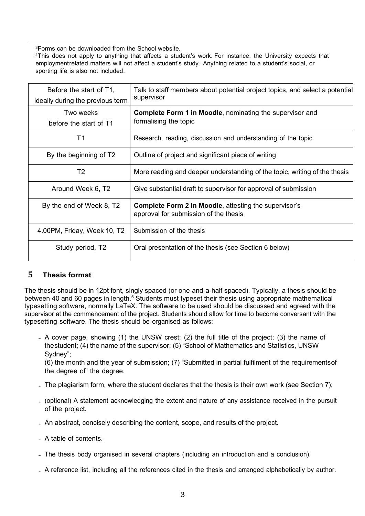<span id="page-2-0"></span>3Forms can be downloaded from the School website.

4This does not apply to anything that affects a student's work. For instance, the University expects that employmentrelated matters will not affect a student's study. Anything related to a student's social, or sporting life is also not included.

| Before the start of T1,<br>ideally during the previous term | Talk to staff members about potential project topics, and select a potential<br>supervisor            |
|-------------------------------------------------------------|-------------------------------------------------------------------------------------------------------|
| Two weeks<br>before the start of T1                         | <b>Complete Form 1 in Moodle, nominating the supervisor and</b><br>formalising the topic              |
| Τ1                                                          | Research, reading, discussion and understanding of the topic                                          |
| By the beginning of T2                                      | Outline of project and significant piece of writing                                                   |
| T <sub>2</sub>                                              | More reading and deeper understanding of the topic, writing of the thesis                             |
| Around Week 6, T2                                           | Give substantial draft to supervisor for approval of submission                                       |
| By the end of Week 8, T2                                    | <b>Complete Form 2 in Moodle, attesting the supervisor's</b><br>approval for submission of the thesis |
| 4.00PM, Friday, Week 10, T2                                 | Submission of the thesis                                                                              |
| Study period, T2                                            | Oral presentation of the thesis (see Section 6 below)                                                 |

### **5 Thesis format**

The thesis should be in 12pt font, singly spaced (or one-and-a-half spaced). Typically, a thesis should be between 40 and 60 pages in length.<sup>5</sup> Students must typeset their thesis using appropriate mathematical typesetting software, normally LaTeX. The software to be used should be discussed and agreed with the supervisor at the commencement of the project. Students should allow for time to become conversant with the typesetting software. The thesis should be organised as follows:

• A cover page, showing (1) the UNSW crest; (2) the full title of the project; (3) the name of thestudent; (4) the name of the supervisor; (5) "School of Mathematics and Statistics, UNSW Sydney";

(6) the month and the year of submission; (7) "Submitted in partial fulfilment of the requirementsof the degree of" the degree.

- The plagiarism form, where the student declares that the thesis is their own work (see Section [7\);](#page-3-2)
- (optional) <sup>A</sup> statement acknowledging the extent and nature of any assistance received in the pursuit of the project.
- An abstract, concisely describing the content, scope, and results of the project.
- A table of contents.
- The thesis body organised in several chapters (including an introduction and <sup>a</sup> conclusion).
- <sup>A</sup> reference list, including all the references cited in the thesis and arranged alphabetically by author.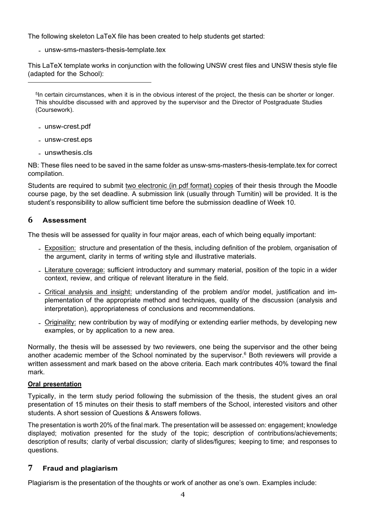The following skeleton LaTeX file has been created to help students get started:

• [unsw-sms-masters-thesis-template.tex](http://www.maths.unsw.edu.au/sites/default/files/unsw-sms-masters-thesis-template.tex)

This LaTeX template works in conjunction with the following UNSW crest files and UNSW thesis style file (adapted for the School):

<span id="page-3-1"></span><sup>5</sup>In certain circumstances, when it is in the obvious interest of the project, the thesis can be shorter or longer. This shouldbe discussed with and approved by the supervisor and the Director of Postgraduate Studies (Coursework).

- [unsw-crest.pdf](http://www.maths.unsw.edu.au/sites/default/files/unsw-crest.pdf)
- [unsw-crest.eps](http://www.maths.unsw.edu.au/sites/default/files/unsw-crest.eps)
- [unswthesis.cls](http://www.maths.unsw.edu.au/sites/default/files/unswthesis.cls)

NB: These files need to be saved in the same folder as unsw-sms-masters-thesis-template.tex for correct compilation.

Students are required to submit two electronic (in pdf format) copies of their thesis through the Moodle course page, by the set deadline. A submission link (usually through Turnitin) will be provided. It is the student's responsibility to allow sufficient time before the submission deadline of Week 10.

# <span id="page-3-0"></span>**6 Assessment**

The thesis will be assessed for quality in four major areas, each of which being equally important:

- Exposition: structure and presentation of the thesis, including definition of the problem, organisation of the argument, clarity in terms of writing style and illustrative materials.
- Literature coverage: sufficient introductory and summary material, position of the topic in a wider context, review, and critique of relevant literature in the field.
- Critical analysis and insight: understanding of the problem and/or model, justification and implementation of the appropriate method and techniques, quality of the discussion (analysis and interpretation), appropriateness of conclusions and recommendations.
- Originality: new contribution by way of modifying or extending earlier methods, by developing new examples, or by application to a new area.

Normally, the thesis will be assessed by two reviewers, one being the supervisor and the other being another academic member of the School nominated by the supervisor. $6$  Both reviewers will provide a written assessment and mark based on the above criteria. Each mark contributes 40% toward the final mark.

### **Oral presentation**

Typically, in the term study period following the submission of the thesis, the student gives an oral presentation of 15 minutes on their thesis to staff members of the School, interested visitors and other students. A short session of Questions & Answers follows.

The presentation is worth 20% of the final mark. The presentation will be assessed on: engagement; knowledge displayed; motivation presented for the study of the topic; description of contributions/achievements; description of results; clarity of verbal discussion; clarity of slides/figures; keeping to time; and responses to questions.

## <span id="page-3-2"></span>**7 Fraud and plagiarism**

Plagiarism is the presentation of the thoughts or work of another as one's own. Examples include: